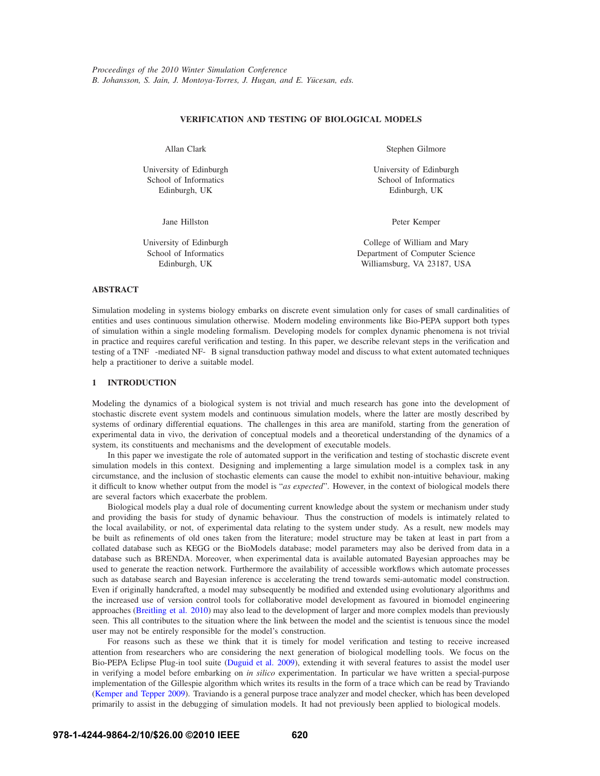# **VERIFICATION AND TESTING OF BIOLOGICAL MODELS**

Allan Clark

University of Edinburgh School of Informatics Edinburgh, UK

Jane Hillston

University of Edinburgh School of Informatics Edinburgh, UK

Stephen Gilmore

University of Edinburgh School of Informatics Edinburgh, UK

Peter Kemper

College of William and Mary Department of Computer Science Williamsburg, VA 23187, USA

## **ABSTRACT**

Simulation modeling in systems biology embarks on discrete event simulation only for cases of small cardinalities of entities and uses continuous simulation otherwise. Modern modeling environments like Bio-PEPA support both types of simulation within a single modeling formalism. Developing models for complex dynamic phenomena is not trivial in practice and requires careful verification and testing. In this paper, we describe relevant steps in the verification and testing of a TNFα-mediated NF-κB signal transduction pathway model and discuss to what extent automated techniques help a practitioner to derive a suitable model.

# **1 INTRODUCTION**

Modeling the dynamics of a biological system is not trivial and much research has gone into the development of stochastic discrete event system models and continuous simulation models, where the latter are mostly described by systems of ordinary differential equations. The challenges in this area are manifold, starting from the generation of experimental data in vivo, the derivation of conceptual models and a theoretical understanding of the dynamics of a system, its constituents and mechanisms and the development of executable models.

In this paper we investigate the role of automated support in the verification and testing of stochastic discrete event simulation models in this context. Designing and implementing a large simulation model is a complex task in any circumstance, and the inclusion of stochastic elements can cause the model to exhibit non-intuitive behaviour, making it difficult to know whether output from the model is "*as expected*". However, in the context of biological models there are several factors which exacerbate the problem.

Biological models play a dual role of documenting current knowledge about the system or mechanism under study and providing the basis for study of dynamic behaviour. Thus the construction of models is intimately related to the local availability, or not, of experimental data relating to the system under study. As a result, new models may be built as refinements of old ones taken from the literature; model structure may be taken at least in part from a collated database such as KEGG or the BioModels database; model parameters may also be derived from data in a database such as BRENDA. Moreover, when experimental data is available automated Bayesian approaches may be used to generate the reaction network. Furthermore the availability of accessible workflows which automate processes such as database search and Bayesian inference is accelerating the trend towards semi-automatic model construction. Even if originally handcrafted, a model may subsequently be modified and extended using evolutionary algorithms and the increased use of version control tools for collaborative model development as favoured in biomodel engineering approaches (Breitling et al. 2010) may also lead to the development of larger and more complex models than previously seen. This all contributes to the situation where the link between the model and the scientist is tenuous since the model user may not be entirely responsible for the model's construction.

For reasons such as these we think that it is timely for model verification and testing to receive increased attention from researchers who are considering the next generation of biological modelling tools. We focus on the Bio-PEPA Eclipse Plug-in tool suite (Duguid et al. 2009), extending it with several features to assist the model user in verifying a model before embarking on *in silico* experimentation. In particular we have written a special-purpose implementation of the Gillespie algorithm which writes its results in the form of a trace which can be read by Traviando (Kemper and Tepper 2009). Traviando is a general purpose trace analyzer and model checker, which has been developed primarily to assist in the debugging of simulation models. It had not previously been applied to biological models.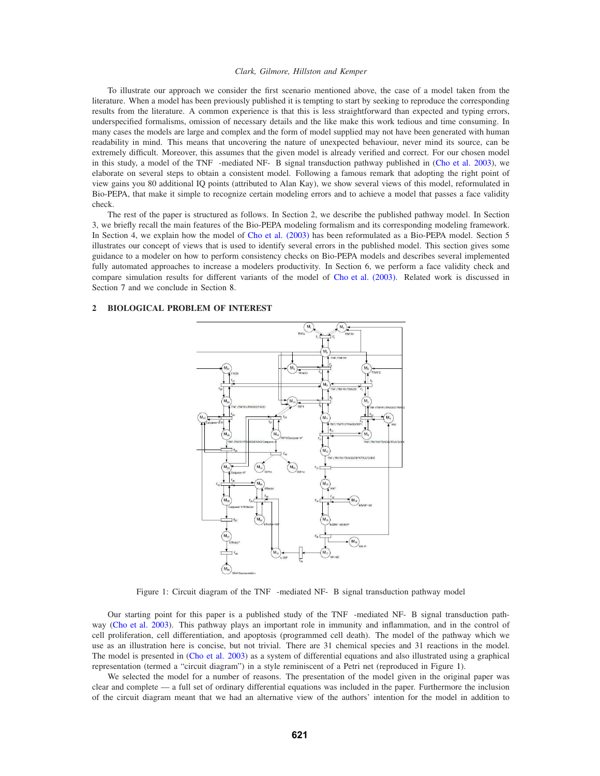To illustrate our approach we consider the first scenario mentioned above, the case of a model taken from the literature. When a model has been previously published it is tempting to start by seeking to reproduce the corresponding results from the literature. A common experience is that this is less straightforward than expected and typing errors, underspecified formalisms, omission of necessary details and the like make this work tedious and time consuming. In many cases the models are large and complex and the form of model supplied may not have been generated with human readability in mind. This means that uncovering the nature of unexpected behaviour, never mind its source, can be extremely difficult. Moreover, this assumes that the given model is already verified and correct. For our chosen model in this study, a model of the TNF $\alpha$ -mediated NF- $\kappa$ B signal transduction pathway published in (Cho et al. 2003), we elaborate on several steps to obtain a consistent model. Following a famous remark that adopting the right point of view gains you 80 additional IQ points (attributed to Alan Kay), we show several views of this model, reformulated in Bio-PEPA, that make it simple to recognize certain modeling errors and to achieve a model that passes a face validity check.

The rest of the paper is structured as follows. In Section 2, we describe the published pathway model. In Section 3, we briefly recall the main features of the Bio-PEPA modeling formalism and its corresponding modeling framework. In Section 4, we explain how the model of Cho et al. (2003) has been reformulated as a Bio-PEPA model. Section 5 illustrates our concept of views that is used to identify several errors in the published model. This section gives some guidance to a modeler on how to perform consistency checks on Bio-PEPA models and describes several implemented fully automated approaches to increase a modelers productivity. In Section 6, we perform a face validity check and compare simulation results for different variants of the model of Cho et al. (2003). Related work is discussed in Section 7 and we conclude in Section 8.

# **2 BIOLOGICAL PROBLEM OF INTEREST**



Figure 1: Circuit diagram of the  $TNF\alpha$ -mediated  $NF-KB$  signal transduction pathway model

Our starting point for this paper is a published study of the TNFα-mediated NF-κB signal transduction pathway (Cho et al. 2003). This pathway plays an important role in immunity and inflammation, and in the control of cell proliferation, cell differentiation, and apoptosis (programmed cell death). The model of the pathway which we use as an illustration here is concise, but not trivial. There are 31 chemical species and 31 reactions in the model. The model is presented in (Cho et al. 2003) as a system of differential equations and also illustrated using a graphical representation (termed a "circuit diagram") in a style reminiscent of a Petri net (reproduced in Figure 1).

We selected the model for a number of reasons. The presentation of the model given in the original paper was clear and complete — a full set of ordinary differential equations was included in the paper. Furthermore the inclusion of the circuit diagram meant that we had an alternative view of the authors' intention for the model in addition to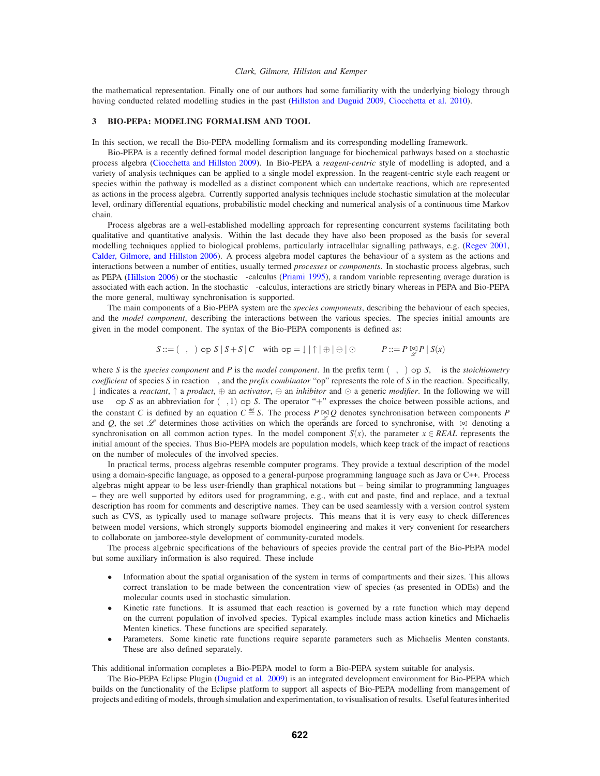the mathematical representation. Finally one of our authors had some familiarity with the underlying biology through having conducted related modelling studies in the past (Hillston and Duguid 2009, Ciocchetta et al. 2010).

## **3 BIO-PEPA: MODELING FORMALISM AND TOOL**

In this section, we recall the Bio-PEPA modelling formalism and its corresponding modelling framework.

Bio-PEPA is a recently defined formal model description language for biochemical pathways based on a stochastic process algebra (Ciocchetta and Hillston 2009). In Bio-PEPA a *reagent-centric* style of modelling is adopted, and a variety of analysis techniques can be applied to a single model expression. In the reagent-centric style each reagent or species within the pathway is modelled as a distinct component which can undertake reactions, which are represented as actions in the process algebra. Currently supported analysis techniques include stochastic simulation at the molecular level, ordinary differential equations, probabilistic model checking and numerical analysis of a continuous time Markov chain.

Process algebras are a well-established modelling approach for representing concurrent systems facilitating both qualitative and quantitative analysis. Within the last decade they have also been proposed as the basis for several modelling techniques applied to biological problems, particularly intracellular signalling pathways, e.g. (Regev 2001, Calder, Gilmore, and Hillston 2006). A process algebra model captures the behaviour of a system as the actions and interactions between a number of entities, usually termed *processes* or *components*. In stochastic process algebras, such as PEPA (Hillston 2006) or the stochastic <sup>π</sup>-calculus (Priami 1995), a random variable representing average duration is associated with each action. In the stochastic <sup>π</sup>-calculus, interactions are strictly binary whereas in PEPA and Bio-PEPA the more general, multiway synchronisation is supported.

The main components of a Bio-PEPA system are the *species components*, describing the behaviour of each species, and the *model component*, describing the interactions between the various species. The species initial amounts are given in the model component. The syntax of the Bio-PEPA components is defined as:

$$
S ::= (\alpha, \kappa) \text{ op } S \mid S + S \mid C \quad \text{with } \text{op} = \downarrow | \uparrow | \oplus | \ominus | \odot \qquad P ::= P \boxtimes P \mid S(x)
$$

where *S* is the *species component* and *P* is the *model component*. In the prefix term  $(\alpha, \kappa)$  op *S*,  $\kappa$  is the *stoichiometry coefficient* of species *S* in reaction  $\alpha$ , and the *prefix combinator* "op" represents the role of *S* in the reaction. Specifically, ↓ indicates a *reactant*, ↑ a *product*, ⊕ an *activator*, ⊖ an *inhibitor* and ⊙ a generic *modifier*. In the following we will use  $\alpha$  op *S* as an abbreviation for  $(\alpha,1)$  op *S*. The operator "+" expresses the choice between possible actions, and the constant *C* is defined by an equation  $C \stackrel{\text{def}}{=} S$ . The process  $P \not\geq Q$  denotes synchronisation between components *P* and Q, the set  $\mathscr L$  determines those activities on which the operands are forced to synchronise, with  $\otimes$  denoting a synchronisation on all common action types. In the model component  $S(x)$ , the parameter  $x \in REAL$  represents the initial amount of the species. Thus Bio-PEPA models are population models, which keep track of the impact of reactions on the number of molecules of the involved species.

In practical terms, process algebras resemble computer programs. They provide a textual description of the model using a domain-specific language, as opposed to a general-purpose programming language such as Java or C++. Process algebras might appear to be less user-friendly than graphical notations but – being similar to programming languages – they are well supported by editors used for programming, e.g., with cut and paste, find and replace, and a textual description has room for comments and descriptive names. They can be used seamlessly with a version control system such as CVS, as typically used to manage software projects. This means that it is very easy to check differences between model versions, which strongly supports biomodel engineering and makes it very convenient for researchers to collaborate on jamboree-style development of community-curated models.

The process algebraic specifications of the behaviours of species provide the central part of the Bio-PEPA model but some auxiliary information is also required. These include

- Information about the spatial organisation of the system in terms of compartments and their sizes. This allows correct translation to be made between the concentration view of species (as presented in ODEs) and the molecular counts used in stochastic simulation.
- Kinetic rate functions. It is assumed that each reaction is governed by a rate function which may depend on the current population of involved species. Typical examples include mass action kinetics and Michaelis Menten kinetics. These functions are specified separately.
- Parameters. Some kinetic rate functions require separate parameters such as Michaelis Menten constants. These are also defined separately.

This additional information completes a Bio-PEPA model to form a Bio-PEPA system suitable for analysis.

The Bio-PEPA Eclipse Plugin (Duguid et al. 2009) is an integrated development environment for Bio-PEPA which builds on the functionality of the Eclipse platform to support all aspects of Bio-PEPA modelling from management of projects and editing of models, through simulation and experimentation, to visualisation of results. Useful features inherited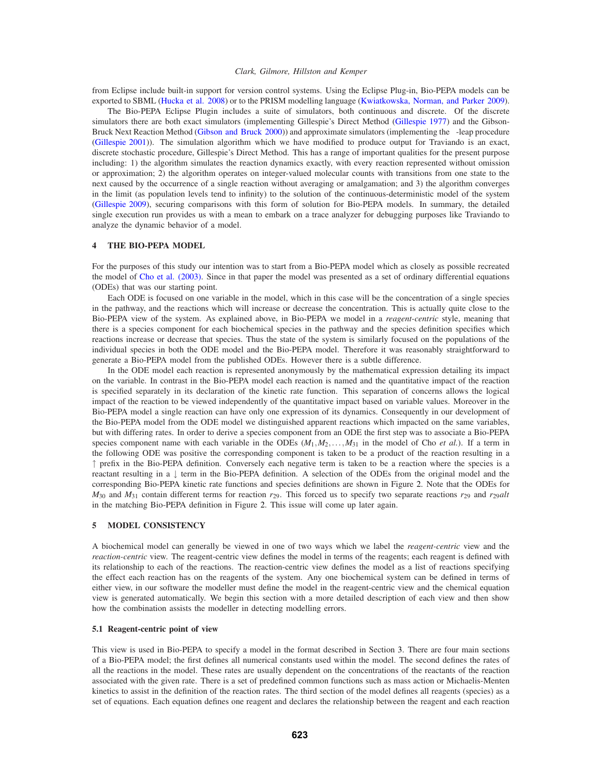from Eclipse include built-in support for version control systems. Using the Eclipse Plug-in, Bio-PEPA models can be exported to SBML (Hucka et al. 2008) or to the PRISM modelling language (Kwiatkowska, Norman, and Parker 2009).

The Bio-PEPA Eclipse Plugin includes a suite of simulators, both continuous and discrete. Of the discrete simulators there are both exact simulators (implementing Gillespie's Direct Method (Gillespie 1977) and the Gibson-Bruck Next Reaction Method (Gibson and Bruck 2000)) and approximate simulators (implementing the <sup>τ</sup>-leap procedure (Gillespie 2001)). The simulation algorithm which we have modified to produce output for Traviando is an exact, discrete stochastic procedure, Gillespie's Direct Method. This has a range of important qualities for the present purpose including: 1) the algorithm simulates the reaction dynamics exactly, with every reaction represented without omission or approximation; 2) the algorithm operates on integer-valued molecular counts with transitions from one state to the next caused by the occurrence of a single reaction without averaging or amalgamation; and 3) the algorithm converges in the limit (as population levels tend to infinity) to the solution of the continuous-deterministic model of the system (Gillespie 2009), securing comparisons with this form of solution for Bio-PEPA models. In summary, the detailed single execution run provides us with a mean to embark on a trace analyzer for debugging purposes like Traviando to analyze the dynamic behavior of a model.

# **4 THE BIO-PEPA MODEL**

For the purposes of this study our intention was to start from a Bio-PEPA model which as closely as possible recreated the model of Cho et al. (2003). Since in that paper the model was presented as a set of ordinary differential equations (ODEs) that was our starting point.

Each ODE is focused on one variable in the model, which in this case will be the concentration of a single species in the pathway, and the reactions which will increase or decrease the concentration. This is actually quite close to the Bio-PEPA view of the system. As explained above, in Bio-PEPA we model in a *reagent-centric* style, meaning that there is a species component for each biochemical species in the pathway and the species definition specifies which reactions increase or decrease that species. Thus the state of the system is similarly focused on the populations of the individual species in both the ODE model and the Bio-PEPA model. Therefore it was reasonably straightforward to generate a Bio-PEPA model from the published ODEs. However there is a subtle difference.

In the ODE model each reaction is represented anonymously by the mathematical expression detailing its impact on the variable. In contrast in the Bio-PEPA model each reaction is named and the quantitative impact of the reaction is specified separately in its declaration of the kinetic rate function. This separation of concerns allows the logical impact of the reaction to be viewed independently of the quantitative impact based on variable values. Moreover in the Bio-PEPA model a single reaction can have only one expression of its dynamics. Consequently in our development of the Bio-PEPA model from the ODE model we distinguished apparent reactions which impacted on the same variables, but with differing rates. In order to derive a species component from an ODE the first step was to associate a Bio-PEPA species component name with each variable in the ODEs  $(M_1, M_2, \ldots, M_{31}$  in the model of Cho *et al.*). If a term in the following ODE was positive the corresponding component is taken to be a product of the reaction resulting in a ↑ prefix in the Bio-PEPA definition. Conversely each negative term is taken to be a reaction where the species is a reactant resulting in a ↓ term in the Bio-PEPA definition. A selection of the ODEs from the original model and the corresponding Bio-PEPA kinetic rate functions and species definitions are shown in Figure 2. Note that the ODEs for *M*<sup>30</sup> and *M*<sup>31</sup> contain different terms for reaction *r*29. This forced us to specify two separate reactions *r*<sup>29</sup> and *r*29*alt* in the matching Bio-PEPA definition in Figure 2. This issue will come up later again.

# **5 MODEL CONSISTENCY**

A biochemical model can generally be viewed in one of two ways which we label the *reagent-centric* view and the *reaction-centric* view. The reagent-centric view defines the model in terms of the reagents; each reagent is defined with its relationship to each of the reactions. The reaction-centric view defines the model as a list of reactions specifying the effect each reaction has on the reagents of the system. Any one biochemical system can be defined in terms of either view, in our software the modeller must define the model in the reagent-centric view and the chemical equation view is generated automatically. We begin this section with a more detailed description of each view and then show how the combination assists the modeller in detecting modelling errors.

# **5.1 Reagent-centric point of view**

This view is used in Bio-PEPA to specify a model in the format described in Section 3. There are four main sections of a Bio-PEPA model; the first defines all numerical constants used within the model. The second defines the rates of all the reactions in the model. These rates are usually dependent on the concentrations of the reactants of the reaction associated with the given rate. There is a set of predefined common functions such as mass action or Michaelis-Menten kinetics to assist in the definition of the reaction rates. The third section of the model defines all reagents (species) as a set of equations. Each equation defines one reagent and declares the relationship between the reagent and each reaction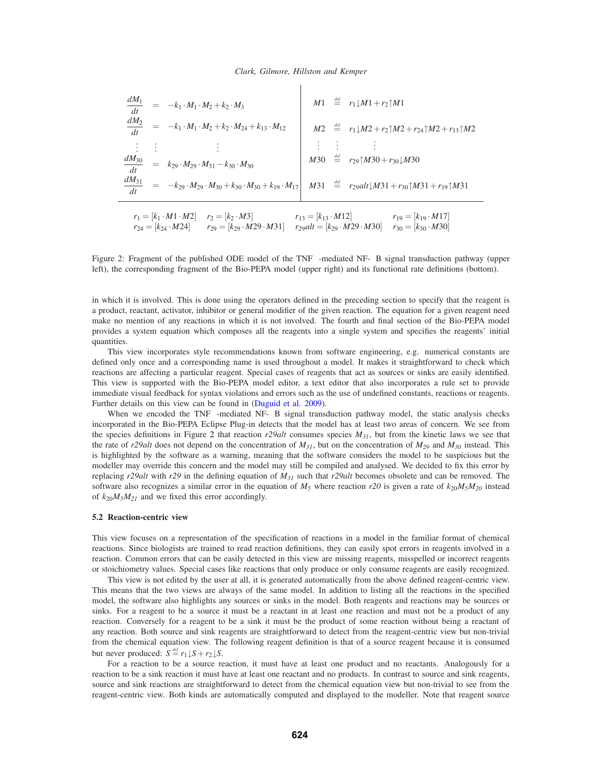|                                                                                                                          |  | $\frac{dM_1}{dt} = -k_1 \cdot M_1 \cdot M_2 + k_2 \cdot M_3$                                                                                                                    |  |  | $M1 \stackrel{\text{def}}{=} r_1 \downarrow M1 + r_2 \uparrow M1$                                           |
|--------------------------------------------------------------------------------------------------------------------------|--|---------------------------------------------------------------------------------------------------------------------------------------------------------------------------------|--|--|-------------------------------------------------------------------------------------------------------------|
|                                                                                                                          |  | $\frac{dM_2}{dt} = -k_1 \cdot M_1 \cdot M_2 + k_2 \cdot M_{24} + k_{13} \cdot M_{12}$                                                                                           |  |  | $M2 \stackrel{\text{def}}{=} r_1 \downarrow M2 + r_2 \uparrow M2 + r_{24} \uparrow M2 + r_{13} \uparrow M2$ |
|                                                                                                                          |  |                                                                                                                                                                                 |  |  |                                                                                                             |
| $\frac{dM_{30}}{dt}$                                                                                                     |  | = $k_{29} \cdot M_{29} \cdot M_{31} - k_{30} \cdot M_{30}$                                                                                                                      |  |  | $\vdots$ :<br>$M30 \stackrel{def}{=} r_{29} \uparrow M30 + r_{30} \downarrow M30$                           |
| $\frac{dM_{31}}{dt}$                                                                                                     |  | $= -k_{29} \cdot M_{29} \cdot M_{30} + k_{30} \cdot M_{30} + k_{19} \cdot M_{17}$ $M31 \stackrel{def}{=} r_{29} alt \downarrow M31 + r_{30} \uparrow M31 + r_{19} \uparrow M31$ |  |  |                                                                                                             |
| $r_1 = [k_1 \cdot M1 \cdot M2]$ $r_2 = [k_2 \cdot M3]$<br>$r_{13} = [k_{13} \cdot M12]$<br>$r_{19} = [k_{19} \cdot M17]$ |  |                                                                                                                                                                                 |  |  |                                                                                                             |

 $r_{24} = [k_{24} \cdot M24]$   $r_{29} = [k_{29} \cdot M29 \cdot M31]$   $r_{29} = k_{29} \cdot M29 \cdot M30$   $r_{30} = [k_{30} \cdot M30]$ 

Figure 2: Fragment of the published ODE model of the TNFα-mediated NF-κB signal transduction pathway (upper left), the corresponding fragment of the Bio-PEPA model (upper right) and its functional rate definitions (bottom).

in which it is involved. This is done using the operators defined in the preceding section to specify that the reagent is a product, reactant, activator, inhibitor or general modifier of the given reaction. The equation for a given reagent need make no mention of any reactions in which it is not involved. The fourth and final section of the Bio-PEPA model provides a system equation which composes all the reagents into a single system and specifies the reagents' initial quantities.

This view incorporates style recommendations known from software engineering, e.g. numerical constants are defined only once and a corresponding name is used throughout a model. It makes it straightforward to check which reactions are affecting a particular reagent. Special cases of reagents that act as sources or sinks are easily identified. This view is supported with the Bio-PEPA model editor, a text editor that also incorporates a rule set to provide immediate visual feedback for syntax violations and errors such as the use of undefined constants, reactions or reagents. Further details on this view can be found in (Duguid et al. 2009).

When we encoded the TNF $\alpha$ -mediated NF- $\kappa$ B signal transduction pathway model, the static analysis checks incorporated in the Bio-PEPA Eclipse Plug-in detects that the model has at least two areas of concern. We see from the species definitions in Figure 2 that reaction  $r29alt$  consumes species  $M<sub>31</sub>$ , but from the kinetic laws we see that the rate of  $r29alt$  does not depend on the concentration of  $M_{31}$ , but on the concentration of  $M_{29}$  and  $M_{30}$  instead. This is highlighted by the software as a warning, meaning that the software considers the model to be suspicious but the modeller may override this concern and the model may still be compiled and analysed. We decided to fix this error by replacing *r29alt* with *r29* in the defining equation of *M31* such that *r29alt* becomes obsolete and can be removed. The software also recognizes a similar error in the equation of  $M_5$  where reaction  $r20$  is given a rate of  $k_{20}M_5M_{20}$  instead of  $k_{20}M_5M_{21}$  and we fixed this error accordingly.

### **5.2 Reaction-centric view**

This view focuses on a representation of the specification of reactions in a model in the familiar format of chemical reactions. Since biologists are trained to read reaction definitions, they can easily spot errors in reagents involved in a reaction. Common errors that can be easily detected in this view are missing reagents, misspelled or incorrect reagents or stoichiometry values. Special cases like reactions that only produce or only consume reagents are easily recognized.

This view is not edited by the user at all, it is generated automatically from the above defined reagent-centric view. This means that the two views are always of the same model. In addition to listing all the reactions in the specified model, the software also highlights any sources or sinks in the model. Both reagents and reactions may be sources or sinks. For a reagent to be a source it must be a reactant in at least one reaction and must not be a product of any reaction. Conversely for a reagent to be a sink it must be the product of some reaction without being a reactant of any reaction. Both source and sink reagents are straightforward to detect from the reagent-centric view but non-trivial from the chemical equation view. The following reagent definition is that of a source reagent because it is consumed but never produced:  $S \stackrel{\text{def}}{=} r_1 \downarrow S + r_2 \downarrow S$ .

For a reaction to be a source reaction, it must have at least one product and no reactants. Analogously for a reaction to be a sink reaction it must have at least one reactant and no products. In contrast to source and sink reagents, source and sink reactions are straightforward to detect from the chemical equation view but non-trivial to see from the reagent-centric view. Both kinds are automatically computed and displayed to the modeller. Note that reagent source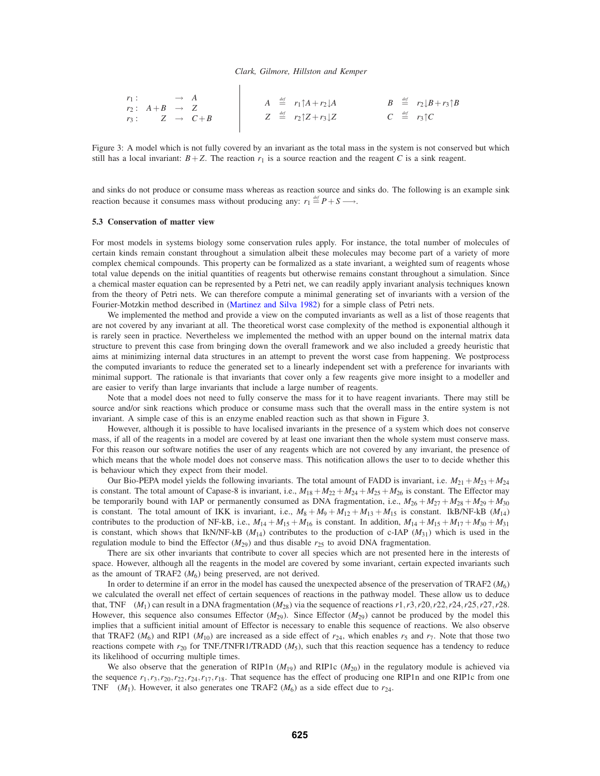| $r_1$ : | $\rightarrow$ A         |
|---------|-------------------------|
| $r_2$ : | $A + B$ $\rightarrow$ Z |
| $r_3$ : | $Z$ $\rightarrow$ C + B |

\n\n

| $A$     | $\stackrel{def}{=}$ | $r_1 \uparrow A + r_2 \downarrow A$ | $B$     | $\stackrel{def}{=}$ | $r_2 \downarrow B + r_3 \uparrow B$ |
|---------|---------------------|-------------------------------------|---------|---------------------|-------------------------------------|
| $r_3$ : | $Z$                 | $\rightarrow$                       | $C + B$ |                     |                                     |

\n\n

| $A$ | $\stackrel{def}{=}$ | $r_1 \uparrow A + r_2 \downarrow A$ | $B$ | $\stackrel{def}{=}$ | $r_2 \downarrow B + r_3 \uparrow B$ |
|-----|---------------------|-------------------------------------|-----|---------------------|-------------------------------------|
|-----|---------------------|-------------------------------------|-----|---------------------|-------------------------------------|

\n

Figure 3: A model which is not fully covered by an invariant as the total mass in the system is not conserved but which still has a local invariant:  $B + Z$ . The reaction  $r_1$  is a source reaction and the reagent *C* is a sink reagent.

and sinks do not produce or consume mass whereas as reaction source and sinks do. The following is an example sink reaction because it consumes mass without producing any:  $r_1 \stackrel{\text{def}}{=} P + S \longrightarrow$ .

### **5.3 Conservation of matter view**

For most models in systems biology some conservation rules apply. For instance, the total number of molecules of certain kinds remain constant throughout a simulation albeit these molecules may become part of a variety of more complex chemical compounds. This property can be formalized as a state invariant, a weighted sum of reagents whose total value depends on the initial quantities of reagents but otherwise remains constant throughout a simulation. Since a chemical master equation can be represented by a Petri net, we can readily apply invariant analysis techniques known from the theory of Petri nets. We can therefore compute a minimal generating set of invariants with a version of the Fourier-Motzkin method described in (Martinez and Silva 1982) for a simple class of Petri nets.

We implemented the method and provide a view on the computed invariants as well as a list of those reagents that are not covered by any invariant at all. The theoretical worst case complexity of the method is exponential although it is rarely seen in practice. Nevertheless we implemented the method with an upper bound on the internal matrix data structure to prevent this case from bringing down the overall framework and we also included a greedy heuristic that aims at minimizing internal data structures in an attempt to prevent the worst case from happening. We postprocess the computed invariants to reduce the generated set to a linearly independent set with a preference for invariants with minimal support. The rationale is that invariants that cover only a few reagents give more insight to a modeller and are easier to verify than large invariants that include a large number of reagents.

Note that a model does not need to fully conserve the mass for it to have reagent invariants. There may still be source and/or sink reactions which produce or consume mass such that the overall mass in the entire system is not invariant. A simple case of this is an enzyme enabled reaction such as that shown in Figure 3.

However, although it is possible to have localised invariants in the presence of a system which does not conserve mass, if all of the reagents in a model are covered by at least one invariant then the whole system must conserve mass. For this reason our software notifies the user of any reagents which are not covered by any invariant, the presence of which means that the whole model does not conserve mass. This notification allows the user to to decide whether this is behaviour which they expect from their model.

Our Bio-PEPA model yields the following invariants. The total amount of FADD is invariant, i.e.  $M_{21} + M_{23} + M_{24}$ is constant. The total amount of Capase-8 is invariant, i.e.,  $M_{18} + M_{22} + M_{24} + M_{25} + M_{26}$  is constant. The Effector may be temporarily bound with IAP or permanently consumed as DNA fragmentation, i.e.,  $M_{26} + M_{27} + M_{28} + M_{29} + M_{30}$ is constant. The total amount of IKK is invariant, i.e.,  $M_8 + M_9 + M_{12} + M_{13} + M_{15}$  is constant. IkB/NF-kB  $(M_{14})$ contributes to the production of NF-kB, i.e.,  $M_{14} + M_{15} + M_{16}$  is constant. In addition,  $M_{14} + M_{15} + M_{17} + M_{30} + M_{31}$ is constant, which shows that IkN/NF-kB  $(M_{14})$  contributes to the production of c-IAP  $(M_{31})$  which is used in the regulation module to bind the Effector  $(M_{29})$  and thus disable  $r_{25}$  to avoid DNA fragmentation.

There are six other invariants that contribute to cover all species which are not presented here in the interests of space. However, although all the reagents in the model are covered by some invariant, certain expected invariants such as the amount of TRAF2  $(M<sub>6</sub>)$  being preserved, are not derived.

In order to determine if an error in the model has caused the unexpected absence of the preservation of TRAF2 (*M*6) we calculated the overall net effect of certain sequences of reactions in the pathway model. These allow us to deduce that, TNF $\alpha$  ( $M_1$ ) can result in a DNA fragmentation ( $M_{28}$ ) via the sequence of reactions  $r1, r3, r20, r22, r24, r25, r27, r28$ . However, this sequence also consumes Effector  $(M_{29})$ . Since Effector  $(M_{29})$  cannot be produced by the model this implies that a sufficient initial amount of Effector is necessary to enable this sequence of reactions. We also observe that TRAF2 ( $M_6$ ) and RIP1 ( $M_{10}$ ) are increased as a side effect of  $r_{24}$ , which enables  $r_5$  and  $r_7$ . Note that those two reactions compete with  $r_{20}$  for TNF./TNFR1/TRADD ( $M_5$ ), such that this reaction sequence has a tendency to reduce its likelihood of occurring multiple times.

We also observe that the generation of RIP1n  $(M_{19})$  and RIP1c  $(M_{20})$  in the regulatory module is achieved via the sequence  $r_1$ ,  $r_3$ ,  $r_{20}$ ,  $r_{22}$ ,  $r_{24}$ ,  $r_{17}$ ,  $r_{18}$ . That sequence has the effect of producing one RIP1n and one RIP1c from one TNF $\alpha$  (*M*<sub>1</sub>). However, it also generates one TRAF2 (*M*<sub>6</sub>) as a side effect due to  $r_{24}$ .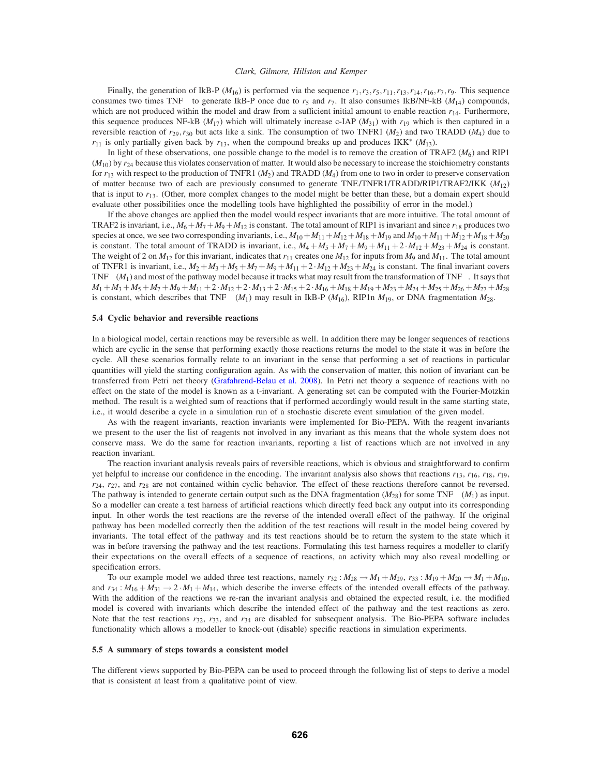Finally, the generation of IkB-P  $(M_{16})$  is performed via the sequence  $r_1$ ,  $r_3$ ,  $r_5$ ,  $r_{11}$ ,  $r_{13}$ ,  $r_{14}$ ,  $r_{16}$ ,  $r_7$ ,  $r_9$ . This sequence consumes two times TNF $\alpha$  to generate IkB-P once due to  $r_5$  and  $r_7$ . It also consumes IkB/NF-kB ( $M_{14}$ ) compounds, which are not produced within the model and draw from a sufficient initial amount to enable reaction  $r_{14}$ . Furthermore, this sequence produces NF-kB  $(M_{17})$  which will ultimately increase c-IAP  $(M_{31})$  with  $r_{19}$  which is then captured in a reversible reaction of  $r_{29}$ ,  $r_{30}$  but acts like a sink. The consumption of two TNFR1 ( $M_2$ ) and two TRADD ( $M_4$ ) due to  $r_{11}$  is only partially given back by  $r_{13}$ , when the compound breaks up and produces IKK<sup>∗</sup> (*M*<sub>13</sub>).

In light of these observations, one possible change to the model is to remove the creation of TRAF2  $(M_6)$  and RIP1 (*M*10) by *r*<sup>24</sup> because this violates conservation of matter. It would also be necessary to increase the stoichiometry constants for  $r_{13}$  with respect to the production of TNFR1 ( $M_2$ ) and TRADD ( $M_4$ ) from one to two in order to preserve conservation of matter because two of each are previously consumed to generate TNF./TNFR1/TRADD/RIP1/TRAF2/IKK (*M*12) that is input to *r*13. (Other, more complex changes to the model might be better than these, but a domain expert should evaluate other possibilities once the modelling tools have highlighted the possibility of error in the model.)

If the above changes are applied then the model would respect invariants that are more intuitive. The total amount of TRAF2 is invariant, i.e.,  $M_6 + M_7 + M_9 + M_{12}$  is constant. The total amount of RIP1 is invariant and since  $r_{18}$  produces two species at once, we see two corresponding invariants, i.e.,  $M_{10} + M_{11} + M_{12} + M_{18} + M_{19}$  and  $M_{10} + M_{11} + M_{12} + M_{18} + M_{20}$ is constant. The total amount of TRADD is invariant, i.e.,  $M_4 + M_5 + M_7 + M_9 + M_{11} + 2 \cdot M_{12} + M_{23} + M_{24}$  is constant. The weight of 2 on  $M_{12}$  for this invariant, indicates that  $r_{11}$  creates one  $M_{12}$  for inputs from  $M_9$  and  $M_{11}$ . The total amount of TNFR1 is invariant, i.e.,  $M_2 + M_3 + M_5 + M_7 + M_9 + M_{11} + 2 \cdot M_{12} + M_{23} + M_{24}$  is constant. The final invariant covers TNF $\alpha$  ( $M_1$ ) and most of the pathway model because it tracks what may result from the transformation of TNF $\alpha$ . It says that *M*<sup>1</sup> +*M*<sup>3</sup> +*M*<sup>5</sup> +*M*<sup>7</sup> +*M*<sup>9</sup> +*M*<sup>11</sup> +2·*M*<sup>12</sup> +2·*M*<sup>13</sup> +2·*M*<sup>15</sup> +2·*M*<sup>16</sup> +*M*<sup>18</sup> +*M*<sup>19</sup> +*M*<sup>23</sup> +*M*<sup>24</sup> +*M*<sup>25</sup> +*M*<sup>26</sup> +*M*<sup>27</sup> +*M*<sup>28</sup> is constant, which describes that TNF $\alpha$  ( $M_1$ ) may result in IkB-P ( $M_{16}$ ), RIP1n  $M_{19}$ , or DNA fragmentation  $M_{28}$ .

# **5.4 Cyclic behavior and reversible reactions**

In a biological model, certain reactions may be reversible as well. In addition there may be longer sequences of reactions which are cyclic in the sense that performing exactly those reactions returns the model to the state it was in before the cycle. All these scenarios formally relate to an invariant in the sense that performing a set of reactions in particular quantities will yield the starting configuration again. As with the conservation of matter, this notion of invariant can be transferred from Petri net theory (Grafahrend-Belau et al. 2008). In Petri net theory a sequence of reactions with no effect on the state of the model is known as a t-invariant. A generating set can be computed with the Fourier-Motzkin method. The result is a weighted sum of reactions that if performed accordingly would result in the same starting state, i.e., it would describe a cycle in a simulation run of a stochastic discrete event simulation of the given model.

As with the reagent invariants, reaction invariants were implemented for Bio-PEPA. With the reagent invariants we present to the user the list of reagents not involved in any invariant as this means that the whole system does not conserve mass. We do the same for reaction invariants, reporting a list of reactions which are not involved in any reaction invariant.

The reaction invariant analysis reveals pairs of reversible reactions, which is obvious and straightforward to confirm yet helpful to increase our confidence in the encoding. The invariant analysis also shows that reactions  $r_{13}$ ,  $r_{16}$ ,  $r_{18}$ ,  $r_{19}$ , *r*24, *r*27, and *r*<sup>28</sup> are not contained within cyclic behavior. The effect of these reactions therefore cannot be reversed. The pathway is intended to generate certain output such as the DNA fragmentation  $(M_{28})$  for some TNF $\alpha$  ( $M_1$ ) as input. So a modeller can create a test harness of artificial reactions which directly feed back any output into its corresponding input. In other words the test reactions are the reverse of the intended overall effect of the pathway. If the original pathway has been modelled correctly then the addition of the test reactions will result in the model being covered by invariants. The total effect of the pathway and its test reactions should be to return the system to the state which it was in before traversing the pathway and the test reactions. Formulating this test harness requires a modeller to clarify their expectations on the overall effects of a sequence of reactions, an activity which may also reveal modelling or specification errors.

To our example model we added three test reactions, namely  $r_{32}$  :  $M_{28} \rightarrow M_1 + M_{29}$ ,  $r_{33}$  :  $M_{19} + M_{20} \rightarrow M_1 + M_{10}$ , and  $r_{34}$ :  $M_{16} + M_{31} \rightarrow 2 \cdot M_1 + M_{14}$ , which describe the inverse effects of the intended overall effects of the pathway. With the addition of the reactions we re-ran the invariant analysis and obtained the expected result, i.e. the modified model is covered with invariants which describe the intended effect of the pathway and the test reactions as zero. Note that the test reactions *r*32, *r*33, and *r*<sup>34</sup> are disabled for subsequent analysis. The Bio-PEPA software includes functionality which allows a modeller to knock-out (disable) specific reactions in simulation experiments.

### **5.5 A summary of steps towards a consistent model**

The different views supported by Bio-PEPA can be used to proceed through the following list of steps to derive a model that is consistent at least from a qualitative point of view.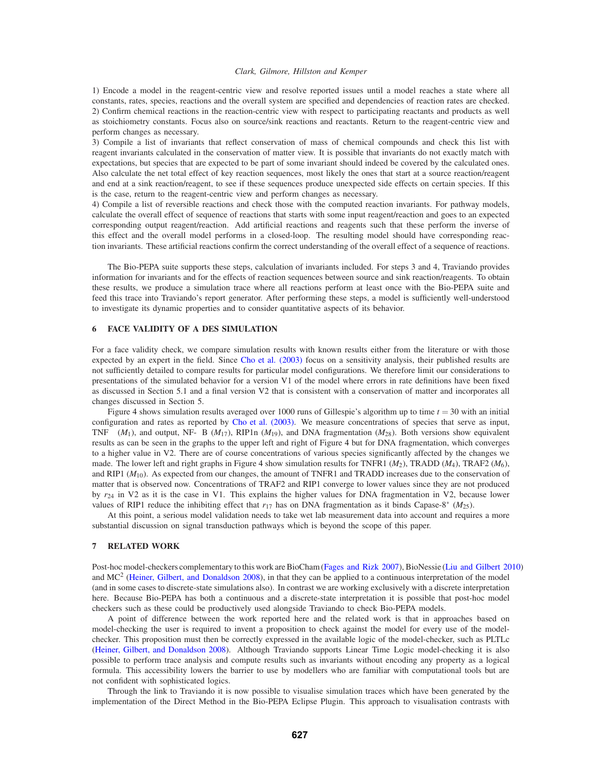1) Encode a model in the reagent-centric view and resolve reported issues until a model reaches a state where all constants, rates, species, reactions and the overall system are specified and dependencies of reaction rates are checked. 2) Confirm chemical reactions in the reaction-centric view with respect to participating reactants and products as well as stoichiometry constants. Focus also on source/sink reactions and reactants. Return to the reagent-centric view and perform changes as necessary.

3) Compile a list of invariants that reflect conservation of mass of chemical compounds and check this list with reagent invariants calculated in the conservation of matter view. It is possible that invariants do not exactly match with expectations, but species that are expected to be part of some invariant should indeed be covered by the calculated ones. Also calculate the net total effect of key reaction sequences, most likely the ones that start at a source reaction/reagent and end at a sink reaction/reagent, to see if these sequences produce unexpected side effects on certain species. If this is the case, return to the reagent-centric view and perform changes as necessary.

4) Compile a list of reversible reactions and check those with the computed reaction invariants. For pathway models, calculate the overall effect of sequence of reactions that starts with some input reagent/reaction and goes to an expected corresponding output reagent/reaction. Add artificial reactions and reagents such that these perform the inverse of this effect and the overall model performs in a closed-loop. The resulting model should have corresponding reaction invariants. These artificial reactions confirm the correct understanding of the overall effect of a sequence of reactions.

The Bio-PEPA suite supports these steps, calculation of invariants included. For steps 3 and 4, Traviando provides information for invariants and for the effects of reaction sequences between source and sink reaction/reagents. To obtain these results, we produce a simulation trace where all reactions perform at least once with the Bio-PEPA suite and feed this trace into Traviando's report generator. After performing these steps, a model is sufficiently well-understood to investigate its dynamic properties and to consider quantitative aspects of its behavior.

# **6 FACE VALIDITY OF A DES SIMULATION**

For a face validity check, we compare simulation results with known results either from the literature or with those expected by an expert in the field. Since Cho et al. (2003) focus on a sensitivity analysis, their published results are not sufficiently detailed to compare results for particular model configurations. We therefore limit our considerations to presentations of the simulated behavior for a version V1 of the model where errors in rate definitions have been fixed as discussed in Section 5.1 and a final version V2 that is consistent with a conservation of matter and incorporates all changes discussed in Section 5.

Figure 4 shows simulation results averaged over 1000 runs of Gillespie's algorithm up to time  $t = 30$  with an initial configuration and rates as reported by Cho et al. (2003). We measure concentrations of species that serve as input, TNF $\alpha$  (*M*<sub>1</sub>), and output, NF- $\kappa$ B (*M*<sub>17</sub>), RIP1n (*M*<sub>19</sub>), and DNA fragmentation (*M*<sub>28</sub>). Both versions show equivalent results as can be seen in the graphs to the upper left and right of Figure 4 but for DNA fragmentation, which converges to a higher value in V2. There are of course concentrations of various species significantly affected by the changes we made. The lower left and right graphs in Figure 4 show simulation results for TNFR1  $(M_2)$ , TRADD  $(M_4)$ , TRAF2  $(M_6)$ , and RIP1  $(M_{10})$ . As expected from our changes, the amount of TNFR1 and TRADD increases due to the conservation of matter that is observed now. Concentrations of TRAF2 and RIP1 converge to lower values since they are not produced by *r*<sup>24</sup> in V2 as it is the case in V1. This explains the higher values for DNA fragmentation in V2, because lower values of RIP1 reduce the inhibiting effect that *r*<sup>17</sup> has on DNA fragmentation as it binds Capase-8<sup>∗</sup> (*M*25).

At this point, a serious model validation needs to take wet lab measurement data into account and requires a more substantial discussion on signal transduction pathways which is beyond the scope of this paper.

### **7 RELATED WORK**

Post-hoc model-checkers complementary to this work are BioCham (Fages and Rizk 2007), BioNessie (Liu and Gilbert 2010) and  $MC<sup>2</sup>$  (Heiner, Gilbert, and Donaldson 2008), in that they can be applied to a continuous interpretation of the model (and in some cases to discrete-state simulations also). In contrast we are working exclusively with a discrete interpretation here. Because Bio-PEPA has both a continuous and a discrete-state interpretation it is possible that post-hoc model checkers such as these could be productively used alongside Traviando to check Bio-PEPA models.

A point of difference between the work reported here and the related work is that in approaches based on model-checking the user is required to invent a proposition to check against the model for every use of the modelchecker. This proposition must then be correctly expressed in the available logic of the model-checker, such as PLTLc (Heiner, Gilbert, and Donaldson 2008). Although Traviando supports Linear Time Logic model-checking it is also possible to perform trace analysis and compute results such as invariants without encoding any property as a logical formula. This accessibility lowers the barrier to use by modellers who are familiar with computational tools but are not confident with sophisticated logics.

Through the link to Traviando it is now possible to visualise simulation traces which have been generated by the implementation of the Direct Method in the Bio-PEPA Eclipse Plugin. This approach to visualisation contrasts with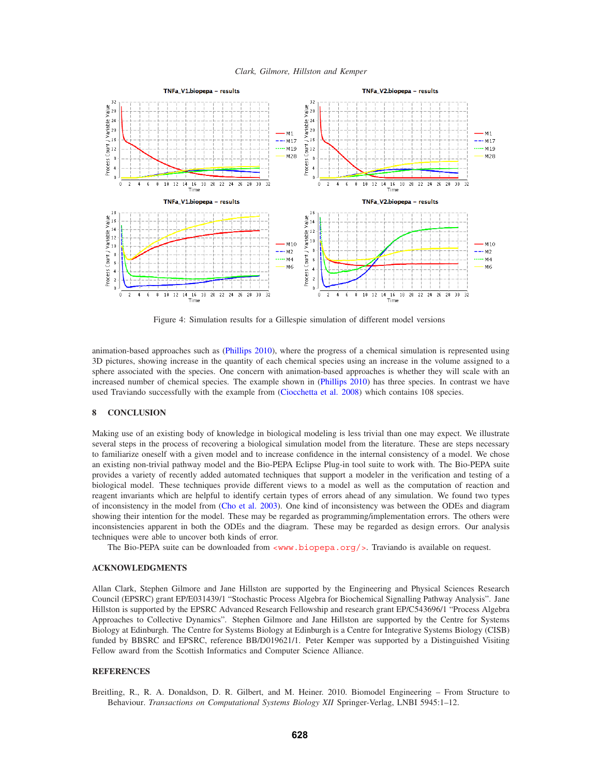*Clark, Gilmore, Hillston and Kemper*



Figure 4: Simulation results for a Gillespie simulation of different model versions

animation-based approaches such as (Phillips 2010), where the progress of a chemical simulation is represented using 3D pictures, showing increase in the quantity of each chemical species using an increase in the volume assigned to a sphere associated with the species. One concern with animation-based approaches is whether they will scale with an increased number of chemical species. The example shown in (Phillips 2010) has three species. In contrast we have used Traviando successfully with the example from (Ciocchetta et al. 2008) which contains 108 species.

### **8 CONCLUSION**

Making use of an existing body of knowledge in biological modeling is less trivial than one may expect. We illustrate several steps in the process of recovering a biological simulation model from the literature. These are steps necessary to familiarize oneself with a given model and to increase confidence in the internal consistency of a model. We chose an existing non-trivial pathway model and the Bio-PEPA Eclipse Plug-in tool suite to work with. The Bio-PEPA suite provides a variety of recently added automated techniques that support a modeler in the verification and testing of a biological model. These techniques provide different views to a model as well as the computation of reaction and reagent invariants which are helpful to identify certain types of errors ahead of any simulation. We found two types of inconsistency in the model from (Cho et al. 2003). One kind of inconsistency was between the ODEs and diagram showing their intention for the model. These may be regarded as programming/implementation errors. The others were inconsistencies apparent in both the ODEs and the diagram. These may be regarded as design errors. Our analysis techniques were able to uncover both kinds of error.

The Bio-PEPA suite can be downloaded from <www.biopepa.org/>. Traviando is available on request.

# **ACKNOWLEDGMENTS**

Allan Clark, Stephen Gilmore and Jane Hillston are supported by the Engineering and Physical Sciences Research Council (EPSRC) grant EP/E031439/1 "Stochastic Process Algebra for Biochemical Signalling Pathway Analysis". Jane Hillston is supported by the EPSRC Advanced Research Fellowship and research grant EP/C543696/1 "Process Algebra Approaches to Collective Dynamics". Stephen Gilmore and Jane Hillston are supported by the Centre for Systems Biology at Edinburgh. The Centre for Systems Biology at Edinburgh is a Centre for Integrative Systems Biology (CISB) funded by BBSRC and EPSRC, reference BB/D019621/1. Peter Kemper was supported by a Distinguished Visiting Fellow award from the Scottish Informatics and Computer Science Alliance.

### **REFERENCES**

Breitling, R., R. A. Donaldson, D. R. Gilbert, and M. Heiner. 2010. Biomodel Engineering – From Structure to Behaviour. *Transactions on Computational Systems Biology XII* Springer-Verlag, LNBI 5945:1–12.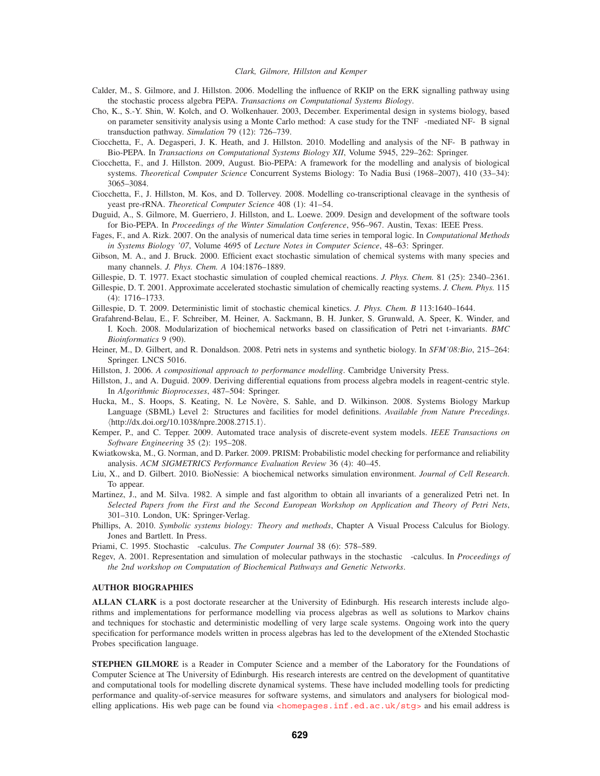- Calder, M., S. Gilmore, and J. Hillston. 2006. Modelling the influence of RKIP on the ERK signalling pathway using the stochastic process algebra PEPA. *Transactions on Computational Systems Biology*.
- Cho, K., S.-Y. Shin, W. Kolch, and O. Wolkenhauer. 2003, December. Experimental design in systems biology, based on parameter sensitivity analysis using a Monte Carlo method: A case study for the TNF $\alpha$ -mediated NF- $\kappa$ B signal transduction pathway. *Simulation* 79 (12): 726–739.
- Ciocchetta, F., A. Degasperi, J. K. Heath, and J. Hillston. 2010. Modelling and analysis of the NF-κB pathway in Bio-PEPA. In *Transactions on Computational Systems Biology XII*, Volume 5945, 229–262: Springer.
- Ciocchetta, F., and J. Hillston. 2009, August. Bio-PEPA: A framework for the modelling and analysis of biological systems. *Theoretical Computer Science* Concurrent Systems Biology: To Nadia Busi (1968–2007), 410 (33–34): 3065–3084.
- Ciocchetta, F., J. Hillston, M. Kos, and D. Tollervey. 2008. Modelling co-transcriptional cleavage in the synthesis of yeast pre-rRNA. *Theoretical Computer Science* 408 (1): 41–54.

Duguid, A., S. Gilmore, M. Guerriero, J. Hillston, and L. Loewe. 2009. Design and development of the software tools for Bio-PEPA. In *Proceedings of the Winter Simulation Conference*, 956–967. Austin, Texas: IEEE Press.

- Fages, F., and A. Rizk. 2007. On the analysis of numerical data time series in temporal logic. In *Computational Methods in Systems Biology '07*, Volume 4695 of *Lecture Notes in Computer Science*, 48–63: Springer.
- Gibson, M. A., and J. Bruck. 2000. Efficient exact stochastic simulation of chemical systems with many species and many channels. *J. Phys. Chem. A* 104:1876–1889.
- Gillespie, D. T. 1977. Exact stochastic simulation of coupled chemical reactions. *J. Phys. Chem.* 81 (25): 2340–2361.
- Gillespie, D. T. 2001. Approximate accelerated stochastic simulation of chemically reacting systems. *J. Chem. Phys.* 115 (4): 1716–1733.
- Gillespie, D. T. 2009. Deterministic limit of stochastic chemical kinetics. *J. Phys. Chem. B* 113:1640–1644.
- Grafahrend-Belau, E., F. Schreiber, M. Heiner, A. Sackmann, B. H. Junker, S. Grunwald, A. Speer, K. Winder, and I. Koch. 2008. Modularization of biochemical networks based on classification of Petri net t-invariants. *BMC Bioinformatics* 9 (90).
- Heiner, M., D. Gilbert, and R. Donaldson. 2008. Petri nets in systems and synthetic biology. In *SFM'08:Bio*, 215–264: Springer. LNCS 5016.
- Hillston, J. 2006. *A compositional approach to performance modelling*. Cambridge University Press.
- Hillston, J., and A. Duguid. 2009. Deriving differential equations from process algebra models in reagent-centric style. In *Algorithmic Bioprocesses*, 487–504: Springer.
- Hucka, M., S. Hoops, S. Keating, N. Le Novère, S. Sahle, and D. Wilkinson. 2008. Systems Biology Markup Language (SBML) Level 2: Structures and facilities for model definitions. *Available from Nature Precedings*.  $\langle$ http://dx.doi.org/10.1038/npre.2008.2715.1 $\rangle$ .
- Kemper, P., and C. Tepper. 2009. Automated trace analysis of discrete-event system models. *IEEE Transactions on Software Engineering* 35 (2): 195–208.
- Kwiatkowska, M., G. Norman, and D. Parker. 2009. PRISM: Probabilistic model checking for performance and reliability analysis. *ACM SIGMETRICS Performance Evaluation Review* 36 (4): 40–45.
- Liu, X., and D. Gilbert. 2010. BioNessie: A biochemical networks simulation environment. *Journal of Cell Research*. To appear.
- Martinez, J., and M. Silva. 1982. A simple and fast algorithm to obtain all invariants of a generalized Petri net. In *Selected Papers from the First and the Second European Workshop on Application and Theory of Petri Nets*, 301–310. London, UK: Springer-Verlag.
- Phillips, A. 2010. *Symbolic systems biology: Theory and methods*, Chapter A Visual Process Calculus for Biology. Jones and Bartlett. In Press.
- Priami, C. 1995. Stochastic <sup>π</sup>-calculus. *The Computer Journal* 38 (6): 578–589.
- Regev, A. 2001. Representation and simulation of molecular pathways in the stochastic <sup>π</sup>-calculus. In *Proceedings of the 2nd workshop on Computation of Biochemical Pathways and Genetic Networks*.

## **AUTHOR BIOGRAPHIES**

**ALLAN CLARK** is a post doctorate researcher at the University of Edinburgh. His research interests include algorithms and implementations for performance modelling via process algebras as well as solutions to Markov chains and techniques for stochastic and deterministic modelling of very large scale systems. Ongoing work into the query specification for performance models written in process algebras has led to the development of the eXtended Stochastic Probes specification language.

**STEPHEN GILMORE** is a Reader in Computer Science and a member of the Laboratory for the Foundations of Computer Science at The University of Edinburgh. His research interests are centred on the development of quantitative and computational tools for modelling discrete dynamical systems. These have included modelling tools for predicting performance and quality-of-service measures for software systems, and simulators and analysers for biological modelling applications. His web page can be found via <homepages.inf.ed.ac.uk/stg> and his email address is